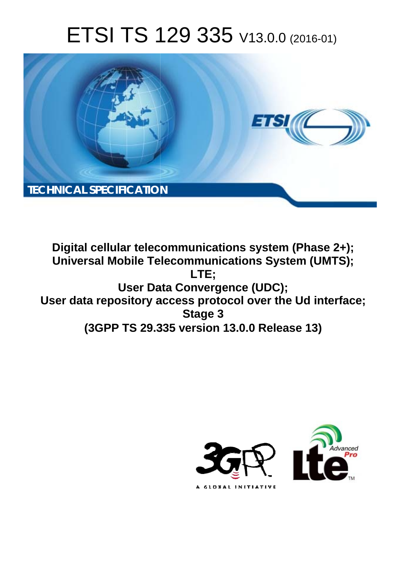# ETSI TS 129 335 V13.0.0 (2016-01)



**Digital cellular telecommunications system (Phase 2+); Universal Mobile Tel elecommunications System ( (UMTS); User Dat ata Convergence (UDC);** User data repository access protocol over the Ud interface; **(3GPP TS 29.3 .335 version 13.0.0 Release 13 13) LTE; Stage 3** 

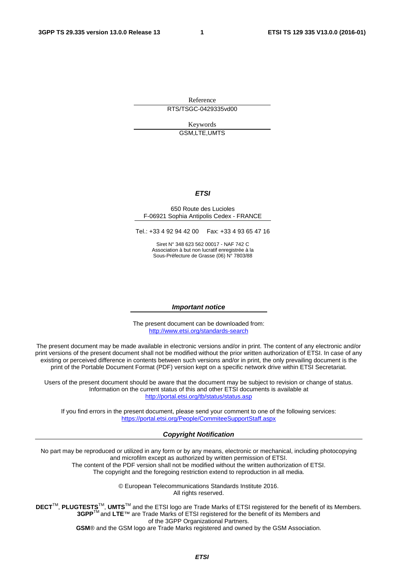Reference RTS/TSGC-0429335vd00

> Keywords GSM,LTE,UMTS

#### *ETSI*

#### 650 Route des Lucioles F-06921 Sophia Antipolis Cedex - FRANCE

Tel.: +33 4 92 94 42 00 Fax: +33 4 93 65 47 16

Siret N° 348 623 562 00017 - NAF 742 C Association à but non lucratif enregistrée à la Sous-Préfecture de Grasse (06) N° 7803/88

#### *Important notice*

The present document can be downloaded from: <http://www.etsi.org/standards-search>

The present document may be made available in electronic versions and/or in print. The content of any electronic and/or print versions of the present document shall not be modified without the prior written authorization of ETSI. In case of any existing or perceived difference in contents between such versions and/or in print, the only prevailing document is the print of the Portable Document Format (PDF) version kept on a specific network drive within ETSI Secretariat.

Users of the present document should be aware that the document may be subject to revision or change of status. Information on the current status of this and other ETSI documents is available at <http://portal.etsi.org/tb/status/status.asp>

If you find errors in the present document, please send your comment to one of the following services: <https://portal.etsi.org/People/CommiteeSupportStaff.aspx>

#### *Copyright Notification*

No part may be reproduced or utilized in any form or by any means, electronic or mechanical, including photocopying and microfilm except as authorized by written permission of ETSI.

The content of the PDF version shall not be modified without the written authorization of ETSI. The copyright and the foregoing restriction extend to reproduction in all media.

> © European Telecommunications Standards Institute 2016. All rights reserved.

**DECT**TM, **PLUGTESTS**TM, **UMTS**TM and the ETSI logo are Trade Marks of ETSI registered for the benefit of its Members. **3GPP**TM and **LTE**™ are Trade Marks of ETSI registered for the benefit of its Members and of the 3GPP Organizational Partners.

**GSM**® and the GSM logo are Trade Marks registered and owned by the GSM Association.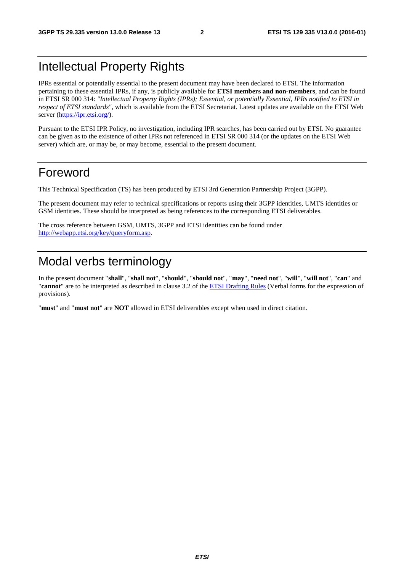# Intellectual Property Rights

IPRs essential or potentially essential to the present document may have been declared to ETSI. The information pertaining to these essential IPRs, if any, is publicly available for **ETSI members and non-members**, and can be found in ETSI SR 000 314: *"Intellectual Property Rights (IPRs); Essential, or potentially Essential, IPRs notified to ETSI in respect of ETSI standards"*, which is available from the ETSI Secretariat. Latest updates are available on the ETSI Web server [\(https://ipr.etsi.org/](https://ipr.etsi.org/)).

Pursuant to the ETSI IPR Policy, no investigation, including IPR searches, has been carried out by ETSI. No guarantee can be given as to the existence of other IPRs not referenced in ETSI SR 000 314 (or the updates on the ETSI Web server) which are, or may be, or may become, essential to the present document.

### Foreword

This Technical Specification (TS) has been produced by ETSI 3rd Generation Partnership Project (3GPP).

The present document may refer to technical specifications or reports using their 3GPP identities, UMTS identities or GSM identities. These should be interpreted as being references to the corresponding ETSI deliverables.

The cross reference between GSM, UMTS, 3GPP and ETSI identities can be found under [http://webapp.etsi.org/key/queryform.asp.](http://webapp.etsi.org/key/queryform.asp)

# Modal verbs terminology

In the present document "**shall**", "**shall not**", "**should**", "**should not**", "**may**", "**need not**", "**will**", "**will not**", "**can**" and "**cannot**" are to be interpreted as described in clause 3.2 of the [ETSI Drafting Rules](http://portal.etsi.org/Help/editHelp!/Howtostart/ETSIDraftingRules.aspx) (Verbal forms for the expression of provisions).

"**must**" and "**must not**" are **NOT** allowed in ETSI deliverables except when used in direct citation.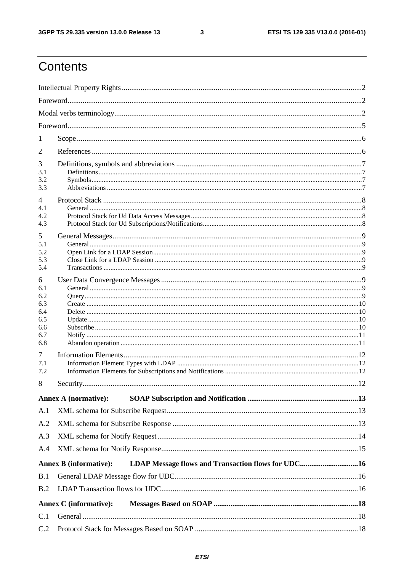$\mathbf{3}$ 

# Contents

| 1                                                         |                               |                                                    |    |  |  |
|-----------------------------------------------------------|-------------------------------|----------------------------------------------------|----|--|--|
| 2                                                         |                               |                                                    |    |  |  |
| 3<br>3.1<br>3.2<br>3.3                                    |                               |                                                    |    |  |  |
| 4<br>4.1<br>4.2<br>4.3                                    |                               |                                                    |    |  |  |
| 5<br>5.1<br>5.2<br>5.3<br>5.4                             |                               |                                                    |    |  |  |
| 6<br>6.1<br>6.2<br>6.3<br>6.4<br>6.5<br>6.6<br>6.7<br>6.8 |                               |                                                    |    |  |  |
| 7<br>7.1<br>7.2                                           |                               |                                                    |    |  |  |
| 8                                                         | Security                      |                                                    | 12 |  |  |
|                                                           | <b>Annex A (normative):</b>   |                                                    |    |  |  |
| A.1                                                       |                               |                                                    |    |  |  |
| A.2                                                       |                               |                                                    |    |  |  |
| A.3                                                       |                               |                                                    |    |  |  |
| A.4                                                       |                               |                                                    |    |  |  |
|                                                           | <b>Annex B</b> (informative): | LDAP Message flows and Transaction flows for UDC16 |    |  |  |
| B.1                                                       |                               |                                                    |    |  |  |
| B.2                                                       |                               |                                                    |    |  |  |
|                                                           | <b>Annex C</b> (informative): |                                                    |    |  |  |
| C.1                                                       |                               |                                                    |    |  |  |
| C.2                                                       |                               |                                                    |    |  |  |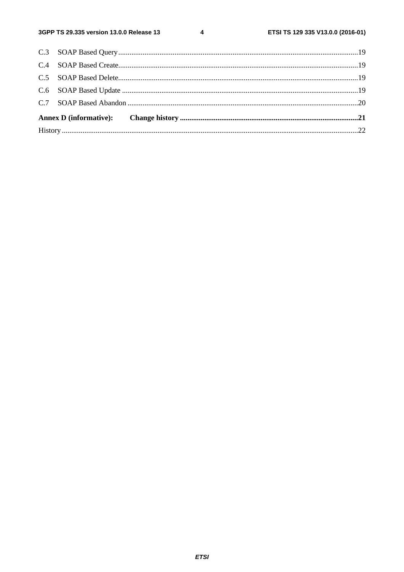$\overline{\mathbf{4}}$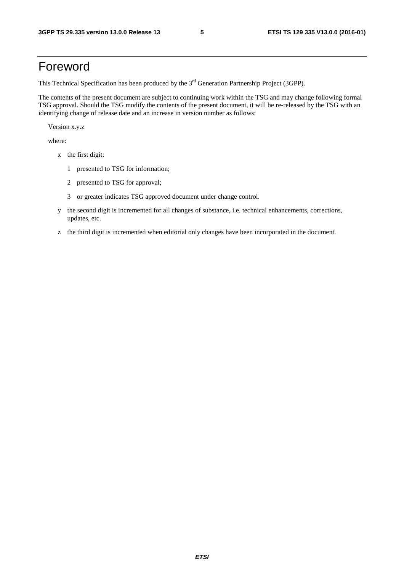# Foreword

This Technical Specification has been produced by the 3<sup>rd</sup> Generation Partnership Project (3GPP).

The contents of the present document are subject to continuing work within the TSG and may change following formal TSG approval. Should the TSG modify the contents of the present document, it will be re-released by the TSG with an identifying change of release date and an increase in version number as follows:

Version x.y.z

where:

- x the first digit:
	- 1 presented to TSG for information;
	- 2 presented to TSG for approval;
	- 3 or greater indicates TSG approved document under change control.
- y the second digit is incremented for all changes of substance, i.e. technical enhancements, corrections, updates, etc.
- z the third digit is incremented when editorial only changes have been incorporated in the document.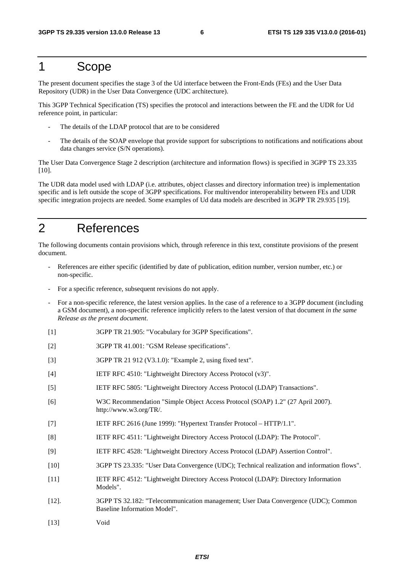### 1 Scope

The present document specifies the stage 3 of the Ud interface between the Front-Ends (FEs) and the User Data Repository (UDR) in the User Data Convergence (UDC architecture).

This 3GPP Technical Specification (TS) specifies the protocol and interactions between the FE and the UDR for Ud reference point, in particular:

- The details of the LDAP protocol that are to be considered
- The details of the SOAP envelope that provide support for subscriptions to notifications and notifications about data changes service (S/N operations).

The User Data Convergence Stage 2 description (architecture and information flows) is specified in 3GPP TS 23.335 [10].

The UDR data model used with LDAP (i.e. attributes, object classes and directory information tree) is implementation specific and is left outside the scope of 3GPP specifications. For multivendor interoperability between FEs and UDR specific integration projects are needed. Some examples of Ud data models are described in 3GPP TR 29.935 [19].

# 2 References

The following documents contain provisions which, through reference in this text, constitute provisions of the present document.

- References are either specific (identified by date of publication, edition number, version number, etc.) or non-specific.
- For a specific reference, subsequent revisions do not apply.
- For a non-specific reference, the latest version applies. In the case of a reference to a 3GPP document (including a GSM document), a non-specific reference implicitly refers to the latest version of that document *in the same Release as the present document*.
- [1] 3GPP TR 21.905: "Vocabulary for 3GPP Specifications".
- [2] 3GPP TR 41.001: "GSM Release specifications".
- [3] 3GPP TR 21 912 (V3.1.0): "Example 2, using fixed text".
- [4] IETF RFC 4510: "Lightweight Directory Access Protocol (v3)".
- [5] IETF RFC 5805: "Lightweight Directory Access Protocol (LDAP) Transactions".
- [6] W3C Recommendation "Simple Object Access Protocol (SOAP) 1.2" (27 April 2007). http://www.w3.org/TR/.
- [7] IETF RFC 2616 (June 1999): "Hypertext Transfer Protocol HTTP/1.1".
- [8] IETF RFC 4511: "Lightweight Directory Access Protocol (LDAP): The Protocol".
- [9] IETF RFC 4528: "Lightweight Directory Access Protocol (LDAP) Assertion Control".
- [10] 3GPP TS 23.335: "User Data Convergence (UDC); Technical realization and information flows".
- [11] IETF RFC 4512: "Lightweight Directory Access Protocol (LDAP): Directory Information Models".
- [12]. 3GPP TS 32.182: "Telecommunication management; User Data Convergence (UDC); Common Baseline Information Model".
- [13] Void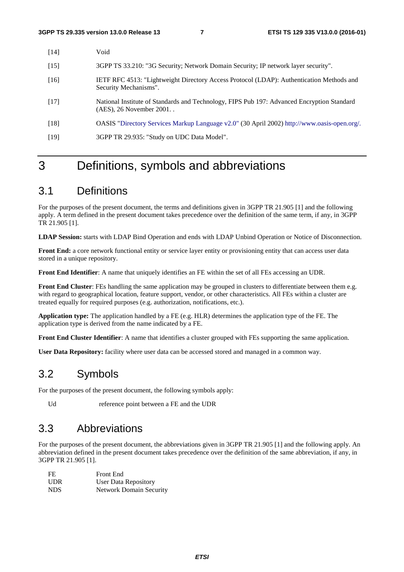| [14]   | Void                                                                                                                     |
|--------|--------------------------------------------------------------------------------------------------------------------------|
| [15]   | 3GPP TS 33.210: "3G Security; Network Domain Security; IP network layer security".                                       |
| $[16]$ | IETF RFC 4513: "Lightweight Directory Access Protocol (LDAP): Authentication Methods and<br>Security Mechanisms".        |
| $[17]$ | National Institute of Standards and Technology, FIPS Pub 197: Advanced Encryption Standard<br>$(AES)$ , 26 November 2001 |
| [18]   | OASIS "Directory Services Markup Language v2.0" (30 April 2002) http://www.oasis-open.org/.                              |
| $[19]$ | 3GPP TR 29.935: "Study on UDC Data Model".                                                                               |

# 3 Definitions, symbols and abbreviations

# 3.1 Definitions

For the purposes of the present document, the terms and definitions given in 3GPP TR 21.905 [1] and the following apply. A term defined in the present document takes precedence over the definition of the same term, if any, in 3GPP TR 21.905 [1].

**LDAP Session:** starts with LDAP Bind Operation and ends with LDAP Unbind Operation or Notice of Disconnection.

**Front End:** a core network functional entity or service layer entity or provisioning entity that can access user data stored in a unique repository.

**Front End Identifier**: A name that uniquely identifies an FE within the set of all FEs accessing an UDR.

**Front End Cluster**: FEs handling the same application may be grouped in clusters to differentiate between them e.g. with regard to geographical location, feature support, vendor, or other characteristics. All FEs within a cluster are treated equally for required purposes (e.g. authorization, notifications, etc.).

**Application type:** The application handled by a FE (e.g. HLR) determines the application type of the FE. The application type is derived from the name indicated by a FE.

**Front End Cluster Identifier**: A name that identifies a cluster grouped with FEs supporting the same application.

**User Data Repository:** facility where user data can be accessed stored and managed in a common way.

# 3.2 Symbols

For the purposes of the present document, the following symbols apply:

Ud reference point between a FE and the UDR

# 3.3 Abbreviations

For the purposes of the present document, the abbreviations given in 3GPP TR 21.905 [1] and the following apply. An abbreviation defined in the present document takes precedence over the definition of the same abbreviation, if any, in 3GPP TR 21.905 [1].

| FE         | <b>Front End</b>               |
|------------|--------------------------------|
| <b>UDR</b> | User Data Repository           |
| NDS.       | <b>Network Domain Security</b> |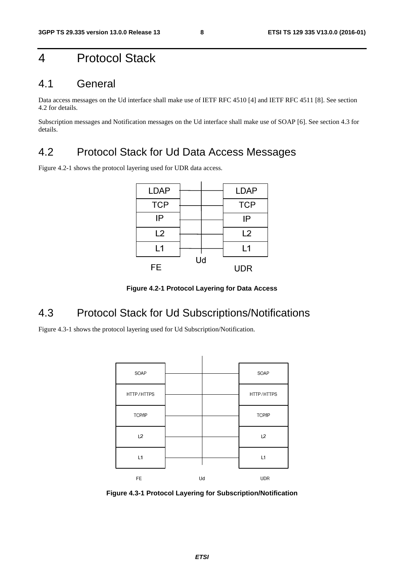# 4 Protocol Stack

#### 4.1 General

Data access messages on the Ud interface shall make use of IETF RFC 4510 [4] and IETF RFC 4511 [8]. See section 4.2 for details.

Subscription messages and Notification messages on the Ud interface shall make use of SOAP [6]. See section 4.3 for details.

#### 4.2 Protocol Stack for Ud Data Access Messages

Figure 4.2-1 shows the protocol layering used for UDR data access.

| <b>LDAP</b> |    | <b>LDAP</b> |
|-------------|----|-------------|
| <b>TCP</b>  |    | <b>TCP</b>  |
| IP          |    | IP          |
| L2          |    | L2          |
| L1          |    | L1          |
| FE          | Ud | UDR         |

**Figure 4.2-1 Protocol Layering for Data Access** 

# 4.3 Protocol Stack for Ud Subscriptions/Notifications

Figure 4.3-1 shows the protocol layering used for Ud Subscription/Notification.



**Figure 4.3-1 Protocol Layering for Subscription/Notification**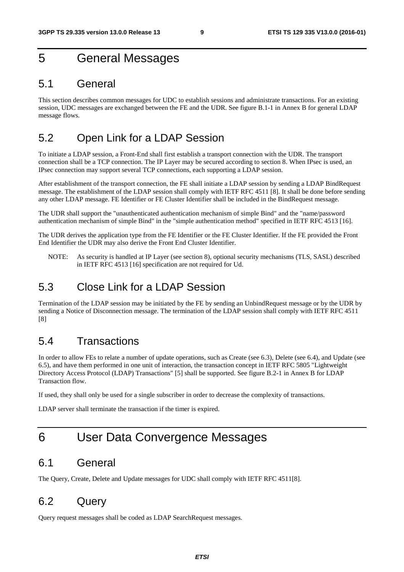# 5 General Messages

#### 5.1 General

This section describes common messages for UDC to establish sessions and administrate transactions. For an existing session, UDC messages are exchanged between the FE and the UDR. See figure B.1-1 in Annex B for general LDAP message flows.

#### 5.2 Open Link for a LDAP Session

To initiate a LDAP session, a Front-End shall first establish a transport connection with the UDR. The transport connection shall be a TCP connection. The IP Layer may be secured according to section 8. When IPsec is used, an IPsec connection may support several TCP connections, each supporting a LDAP session.

After establishment of the transport connection, the FE shall initiate a LDAP session by sending a LDAP BindRequest message. The establishment of the LDAP session shall comply with IETF RFC 4511 [8]. It shall be done before sending any other LDAP message. FE Identifier or FE Cluster Identifier shall be included in the BindRequest message.

The UDR shall support the "unauthenticated authentication mechanism of simple Bind" and the "name/password authentication mechanism of simple Bind" in the "simple authentication method" specified in IETF RFC 4513 [16].

The UDR derives the application type from the FE Identifier or the FE Cluster Identifier. If the FE provided the Front End Identifier the UDR may also derive the Front End Cluster Identifier.

NOTE: As security is handled at IP Layer (see section 8), optional security mechanisms (TLS, SASL) described in IETF RFC 4513 [16] specification are not required for Ud.

#### 5.3 Close Link for a LDAP Session

Termination of the LDAP session may be initiated by the FE by sending an UnbindRequest message or by the UDR by sending a Notice of Disconnection message. The termination of the LDAP session shall comply with IETF RFC 4511 [8]

#### 5.4 Transactions

In order to allow FEs to relate a number of update operations, such as Create (see 6.3), Delete (see 6.4), and Update (see 6.5), and have them performed in one unit of interaction, the transaction concept in IETF RFC 5805 "Lightweight Directory Access Protocol (LDAP) Transactions" [5] shall be supported. See figure B.2-1 in Annex B for LDAP Transaction flow.

If used, they shall only be used for a single subscriber in order to decrease the complexity of transactions.

LDAP server shall terminate the transaction if the timer is expired.

# 6 User Data Convergence Messages

#### 6.1 General

The Query, Create, Delete and Update messages for UDC shall comply with IETF RFC 4511[8].

#### 6.2 Query

Query request messages shall be coded as LDAP SearchRequest messages.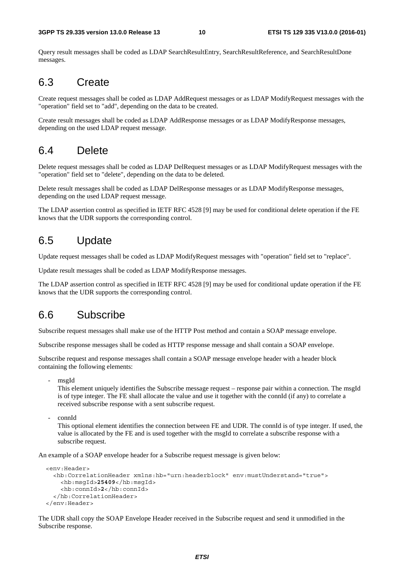Query result messages shall be coded as LDAP SearchResultEntry, SearchResultReference, and SearchResultDone messages.

#### 6.3 Create

Create request messages shall be coded as LDAP AddRequest messages or as LDAP ModifyRequest messages with the "operation" field set to "add", depending on the data to be created.

Create result messages shall be coded as LDAP AddResponse messages or as LDAP ModifyResponse messages, depending on the used LDAP request message.

#### 6.4 Delete

Delete request messages shall be coded as LDAP DelRequest messages or as LDAP ModifyRequest messages with the "operation" field set to "delete", depending on the data to be deleted.

Delete result messages shall be coded as LDAP DelResponse messages or as LDAP ModifyResponse messages, depending on the used LDAP request message.

The LDAP assertion control as specified in IETF RFC 4528 [9] may be used for conditional delete operation if the FE knows that the UDR supports the corresponding control.

#### 6.5 Update

Update request messages shall be coded as LDAP ModifyRequest messages with "operation" field set to "replace".

Update result messages shall be coded as LDAP ModifyResponse messages.

The LDAP assertion control as specified in IETF RFC 4528 [9] may be used for conditional update operation if the FE knows that the UDR supports the corresponding control.

#### 6.6 Subscribe

Subscribe request messages shall make use of the HTTP Post method and contain a SOAP message envelope.

Subscribe response messages shall be coded as HTTP response message and shall contain a SOAP envelope.

Subscribe request and response messages shall contain a SOAP message envelope header with a header block containing the following elements:

- msgId

This element uniquely identifies the Subscribe message request – response pair within a connection. The msgId is of type integer. The FE shall allocate the value and use it together with the connId (if any) to correlate a received subscribe response with a sent subscribe request.

- connId

This optional element identifies the connection between FE and UDR. The connId is of type integer. If used, the value is allocated by the FE and is used together with the msgId to correlate a subscribe response with a subscribe request.

An example of a SOAP envelope header for a Subscribe request message is given below:

```
 <env:Header> 
   <hb:CorrelationHeader xmlns:hb="urn:headerblock" env:mustUnderstand="true"> 
     <hb:msgId>25409</hb:msgId>
     <hb:connId>2</hb:connId> 
   </hb:CorrelationHeader> 
 </env:Header>
```
The UDR shall copy the SOAP Envelope Header received in the Subscribe request and send it unmodified in the Subscribe response.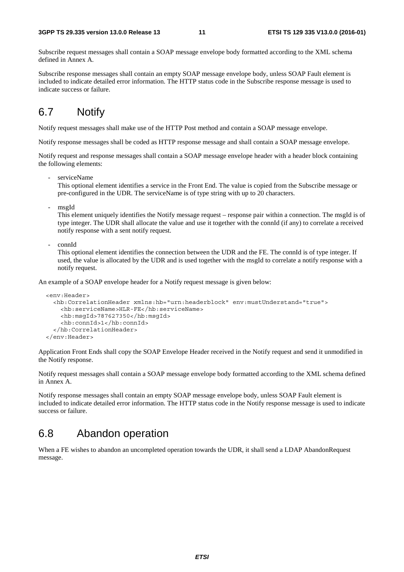Subscribe request messages shall contain a SOAP message envelope body formatted according to the XML schema defined in Annex A.

Subscribe response messages shall contain an empty SOAP message envelope body, unless SOAP Fault element is included to indicate detailed error information. The HTTP status code in the Subscribe response message is used to indicate success or failure.

#### 6.7 Notify

Notify request messages shall make use of the HTTP Post method and contain a SOAP message envelope.

Notify response messages shall be coded as HTTP response message and shall contain a SOAP message envelope.

Notify request and response messages shall contain a SOAP message envelope header with a header block containing the following elements:

serviceName

This optional element identifies a service in the Front End. The value is copied from the Subscribe message or pre-configured in the UDR. The serviceName is of type string with up to 20 characters.

- msgId

This element uniquely identifies the Notify message request – response pair within a connection. The msgId is of type integer. The UDR shall allocate the value and use it together with the connId (if any) to correlate a received notify response with a sent notify request.

- connId

This optional element identifies the connection between the UDR and the FE. The connId is of type integer. If used, the value is allocated by the UDR and is used together with the msgId to correlate a notify response with a notify request.

An example of a SOAP envelope header for a Notify request message is given below:

```
 <env:Header> 
   <hb:CorrelationHeader xmlns:hb="urn:headerblock" env:mustUnderstand="true"> 
     <hb:serviceName>HLR-FE</hb:serviceName> 
     <hb:msgId>787627350</hb:msgId> 
     <hb:connId>1</hb:connId> 
   </hb:CorrelationHeader> 
 </env:Header>
```
Application Front Ends shall copy the SOAP Envelope Header received in the Notify request and send it unmodified in the Notify response.

Notify request messages shall contain a SOAP message envelope body formatted according to the XML schema defined in Annex A.

Notify response messages shall contain an empty SOAP message envelope body, unless SOAP Fault element is included to indicate detailed error information. The HTTP status code in the Notify response message is used to indicate success or failure.

#### 6.8 Abandon operation

When a FE wishes to abandon an uncompleted operation towards the UDR, it shall send a LDAP AbandonRequest message.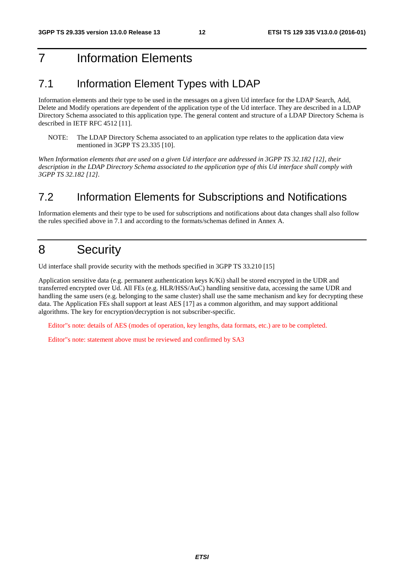# 7 Information Elements

#### 7.1 Information Element Types with LDAP

Information elements and their type to be used in the messages on a given Ud interface for the LDAP Search, Add, Delete and Modify operations are dependent of the application type of the Ud interface. They are described in a LDAP Directory Schema associated to this application type. The general content and structure of a LDAP Directory Schema is described in IETF RFC 4512 [11].

NOTE: The LDAP Directory Schema associated to an application type relates to the application data view mentioned in 3GPP TS 23.335 [10].

*When Information elements that are used on a given Ud interface are addressed in 3GPP TS 32.182 [12], their description in the LDAP Directory Schema associated to the application type of this Ud interface shall comply with 3GPP TS 32.182 [12].* 

#### 7.2 Information Elements for Subscriptions and Notifications

Information elements and their type to be used for subscriptions and notifications about data changes shall also follow the rules specified above in 7.1 and according to the formats/schemas defined in Annex A.

# 8 Security

Ud interface shall provide security with the methods specified in 3GPP TS 33.210 [15]

Application sensitive data (e.g. permanent authentication keys K/Ki) shall be stored encrypted in the UDR and transferred encrypted over Ud. All FEs (e.g. HLR/HSS/AuC) handling sensitive data, accessing the same UDR and handling the same users (e.g. belonging to the same cluster) shall use the same mechanism and key for decrypting these data. The Application FEs shall support at least AES [17] as a common algorithm, and may support additional algorithms. The key for encryption/decryption is not subscriber-specific.

Editor"s note: details of AES (modes of operation, key lengths, data formats, etc.) are to be completed.

Editor"s note: statement above must be reviewed and confirmed by SA3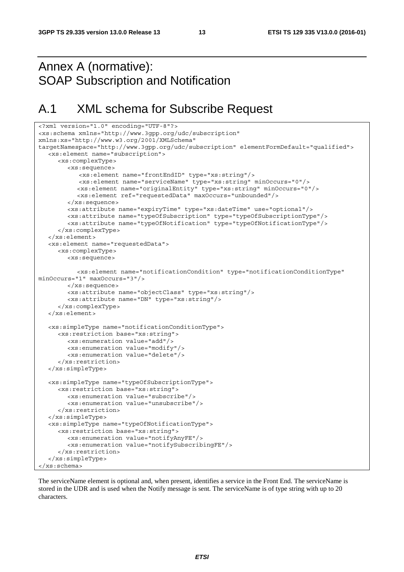# Annex A (normative): SOAP Subscription and Notification

# A.1 XML schema for Subscribe Request

```
<?xml version="1.0" encoding="UTF-8"?> 
<xs:schema xmlns="http://www.3gpp.org/udc/subscription" 
xmlns:xs="http://www.w3.org/2001/XMLSchema" 
targetNamespace="http://www.3gpp.org/udc/subscription" elementFormDefault="qualified"> 
   <xs:element name="subscription"> 
      <xs:complexType> 
         <xs:sequence> 
            <xs:element name="frontEndID" type="xs:string"/> 
            <xs:element name="serviceName" type="xs:string" minOccurs="0"/> 
            <xs:element name="originalEntity" type="xs:string" minOccurs="0"/> 
            <xs:element ref="requestedData" maxOccurs="unbounded"/> 
         </xs:sequence> 
         <xs:attribute name="expiryTime" type="xs:dateTime" use="optional"/> 
         <xs:attribute name="typeOfSubscription" type="typeOfSubscriptionType"/> 
         <xs:attribute name="typeOfNotification" type="typeOfNotificationType"/> 
      </xs:complexType> 
   </xs:element> 
   <xs:element name="requestedData"> 
      <xs:complexType> 
         <xs:sequence> 
            <xs:element name="notificationCondition" type="notificationConditionType" 
minOccurs="1" maxOccurs="3"/> 
         </xs:sequence> 
         <xs:attribute name="objectClass" type="xs:string"/> 
         <xs:attribute name="DN" type="xs:string"/> 
      </xs:complexType> 
   </xs:element> 
   <xs:simpleType name="notificationConditionType"> 
      <xs:restriction base="xs:string"> 
         <xs:enumeration value="add"/> 
         <xs:enumeration value="modify"/> 
         <xs:enumeration value="delete"/> 
      </xs:restriction> 
   </xs:simpleType> 
   <xs:simpleType name="typeOfSubscriptionType"> 
      <xs:restriction base="xs:string"> 
         <xs:enumeration value="subscribe"/> 
         <xs:enumeration value="unsubscribe"/> 
      </xs:restriction> 
   </xs:simpleType> 
   <xs:simpleType name="typeOfNotificationType"> 
      <xs:restriction base="xs:string"> 
         <xs:enumeration value="notifyAnyFE"/> 
         <xs:enumeration value="notifySubscribingFE"/> 
      </xs:restriction> 
   </xs:simpleType> 
</xs:schema>
```
The serviceName element is optional and, when present, identifies a service in the Front End. The serviceName is stored in the UDR and is used when the Notify message is sent. The serviceName is of type string with up to 20 characters.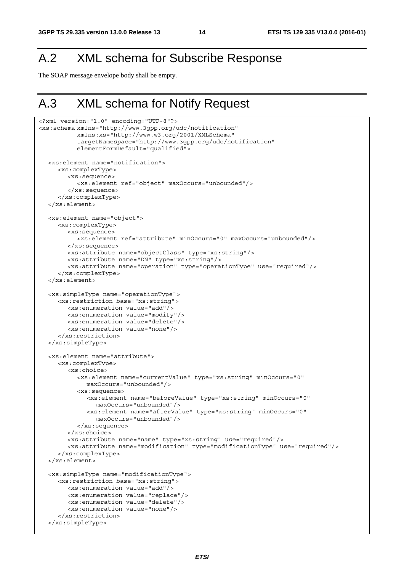# A.2 XML schema for Subscribe Response

The SOAP message envelope body shall be empty.

# A.3 XML schema for Notify Request

```
<?xml version="1.0" encoding="UTF-8"?> 
<xs:schema xmlns="http://www.3gpp.org/udc/notification" 
            xmlns:xs="http://www.w3.org/2001/XMLSchema" 
            targetNamespace="http://www.3gpp.org/udc/notification" 
            elementFormDefault="qualified"> 
   <xs:element name="notification"> 
      <xs:complexType> 
         <xs:sequence> 
            <xs:element ref="object" maxOccurs="unbounded"/> 
         </xs:sequence> 
      </xs:complexType> 
   </xs:element> 
   <xs:element name="object"> 
      <xs:complexType> 
         <xs:sequence> 
            <xs:element ref="attribute" minOccurs="0" maxOccurs="unbounded"/> 
         </xs:sequence> 
         <xs:attribute name="objectClass" type="xs:string"/> 
         <xs:attribute name="DN" type="xs:string"/> 
         <xs:attribute name="operation" type="operationType" use="required"/> 
      </xs:complexType> 
   </xs:element> 
   <xs:simpleType name="operationType"> 
      <xs:restriction base="xs:string"> 
        <xs:enumeration value="add"/> 
         <xs:enumeration value="modify"/> 
         <xs:enumeration value="delete"/> 
         <xs:enumeration value="none"/> 
      </xs:restriction> 
   </xs:simpleType> 
   <xs:element name="attribute"> 
      <xs:complexType> 
         <xs:choice> 
            <xs:element name="currentValue" type="xs:string" minOccurs="0" 
              maxOccurs="unbounded"/> 
            <xs:sequence> 
               <xs:element name="beforeValue" type="xs:string" minOccurs="0" 
                 maxOccurs="unbounded"/> 
               <xs:element name="afterValue" type="xs:string" minOccurs="0" 
                 maxOccurs="unbounded"/> 
            </xs:sequence> 
         </xs:choice> 
         <xs:attribute name="name" type="xs:string" use="required"/> 
         <xs:attribute name="modification" type="modificationType" use="required"/> 
      </xs:complexType> 
   </xs:element> 
   <xs:simpleType name="modificationType"> 
      <xs:restriction base="xs:string"> 
         <xs:enumeration value="add"/> 
         <xs:enumeration value="replace"/> 
         <xs:enumeration value="delete"/> 
         <xs:enumeration value="none"/> 
      </xs:restriction> 
   </xs:simpleType>
```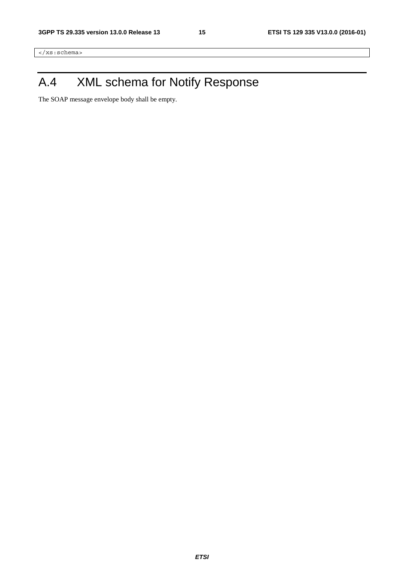</xs:schema>

# A.4 XML schema for Notify Response

The SOAP message envelope body shall be empty.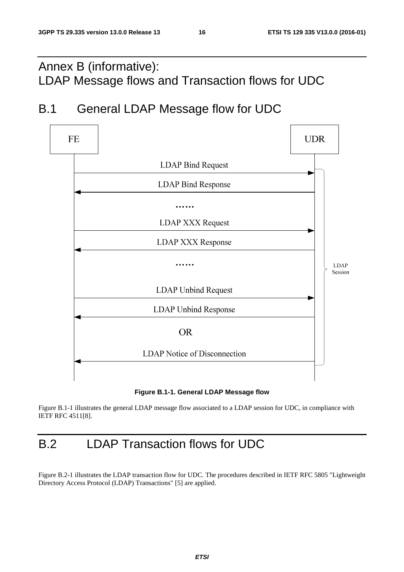# Annex B (informative): LDAP Message flows and Transaction flows for UDC

# B.1 General LDAP Message flow for UDC



**Figure B.1-1. General LDAP Message flow** 

Figure B.1-1 illustrates the general LDAP message flow associated to a LDAP session for UDC, in compliance with IETF RFC 4511[8].

# B.2 LDAP Transaction flows for UDC

Figure B.2-1 illustrates the LDAP transaction flow for UDC. The procedures described in IETF RFC 5805 "Lightweight Directory Access Protocol (LDAP) Transactions" [5] are applied.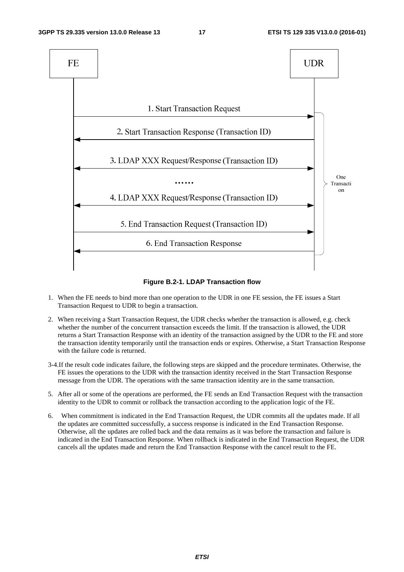

**Figure B.2-1. LDAP Transaction flow** 

- 1. When the FE needs to bind more than one operation to the UDR in one FE session, the FE issues a Start Transaction Request to UDR to begin a transaction.
- 2. When receiving a Start Transaction Request, the UDR checks whether the transaction is allowed, e.g. check whether the number of the concurrent transaction exceeds the limit. If the transaction is allowed, the UDR returns a Start Transaction Response with an identity of the transaction assigned by the UDR to the FE and store the transaction identity temporarily until the transaction ends or expires. Otherwise, a Start Transaction Response with the failure code is returned.
- 3-4.If the result code indicates failure, the following steps are skipped and the procedure terminates. Otherwise, the FE issues the operations to the UDR with the transaction identity received in the Start Transaction Response message from the UDR. The operations with the same transaction identity are in the same transaction.
- 5. After all or some of the operations are performed, the FE sends an End Transaction Request with the transaction identity to the UDR to commit or rollback the transaction according to the application logic of the FE.
- 6. When commitment is indicated in the End Transaction Request, the UDR commits all the updates made. If all the updates are committed successfully, a success response is indicated in the End Transaction Response. Otherwise, all the updates are rolled back and the data remains as it was before the transaction and failure is indicated in the End Transaction Response. When rollback is indicated in the End Transaction Request, the UDR cancels all the updates made and return the End Transaction Response with the cancel result to the FE.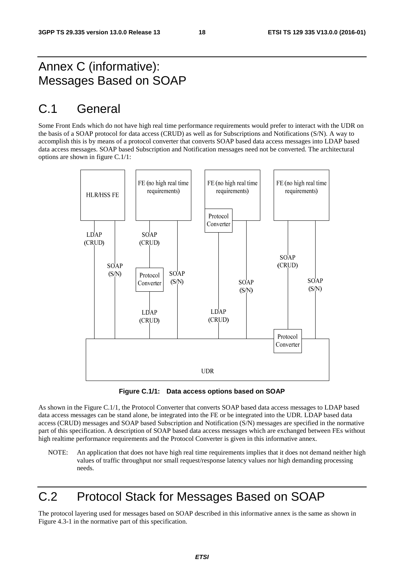# Annex C (informative): Messages Based on SOAP

# C.1 General

Some Front Ends which do not have high real time performance requirements would prefer to interact with the UDR on the basis of a SOAP protocol for data access (CRUD) as well as for Subscriptions and Notifications (S/N). A way to accomplish this is by means of a protocol converter that converts SOAP based data access messages into LDAP based data access messages. SOAP based Subscription and Notification messages need not be converted. The architectural options are shown in figure C.1/1:



**Figure C.1/1: Data access options based on SOAP** 

As shown in the Figure C.1/1, the Protocol Converter that converts SOAP based data access messages to LDAP based data access messages can be stand alone, be integrated into the FE or be integrated into the UDR. LDAP based data access (CRUD) messages and SOAP based Subscription and Notification (S/N) messages are specified in the normative part of this specification. A description of SOAP based data access messages which are exchanged between FEs without high realtime performance requirements and the Protocol Converter is given in this informative annex.

NOTE: An application that does not have high real time requirements implies that it does not demand neither high values of traffic throughput nor small request/response latency values nor high demanding processing needs.

# C.2 Protocol Stack for Messages Based on SOAP

The protocol layering used for messages based on SOAP described in this informative annex is the same as shown in Figure 4.3-1 in the normative part of this specification.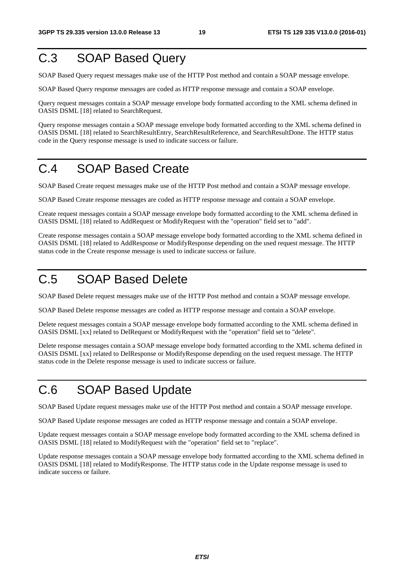# C.3 SOAP Based Query

SOAP Based Query request messages make use of the HTTP Post method and contain a SOAP message envelope.

SOAP Based Query response messages are coded as HTTP response message and contain a SOAP envelope.

Query request messages contain a SOAP message envelope body formatted according to the XML schema defined in OASIS DSML [18] related to SearchRequest.

Query response messages contain a SOAP message envelope body formatted according to the XML schema defined in OASIS DSML [18] related to SearchResultEntry, SearchResultReference, and SearchResultDone. The HTTP status code in the Query response message is used to indicate success or failure.

# C.4 SOAP Based Create

SOAP Based Create request messages make use of the HTTP Post method and contain a SOAP message envelope.

SOAP Based Create response messages are coded as HTTP response message and contain a SOAP envelope.

Create request messages contain a SOAP message envelope body formatted according to the XML schema defined in OASIS DSML [18] related to AddRequest or ModifyRequest with the "operation" field set to "add".

Create response messages contain a SOAP message envelope body formatted according to the XML schema defined in OASIS DSML [18] related to AddResponse or ModifyResponse depending on the used request message. The HTTP status code in the Create response message is used to indicate success or failure.

# C.5 SOAP Based Delete

SOAP Based Delete request messages make use of the HTTP Post method and contain a SOAP message envelope.

SOAP Based Delete response messages are coded as HTTP response message and contain a SOAP envelope.

Delete request messages contain a SOAP message envelope body formatted according to the XML schema defined in OASIS DSML [xx] related to DelRequest or ModifyRequest with the "operation" field set to "delete".

Delete response messages contain a SOAP message envelope body formatted according to the XML schema defined in OASIS DSML [xx] related to DelResponse or ModifyResponse depending on the used request message. The HTTP status code in the Delete response message is used to indicate success or failure.

# C.6 SOAP Based Update

SOAP Based Update request messages make use of the HTTP Post method and contain a SOAP message envelope.

SOAP Based Update response messages are coded as HTTP response message and contain a SOAP envelope.

Update request messages contain a SOAP message envelope body formatted according to the XML schema defined in OASIS DSML [18] related to ModifyRequest with the "operation" field set to "replace".

Update response messages contain a SOAP message envelope body formatted according to the XML schema defined in OASIS DSML [18] related to ModifyResponse. The HTTP status code in the Update response message is used to indicate success or failure.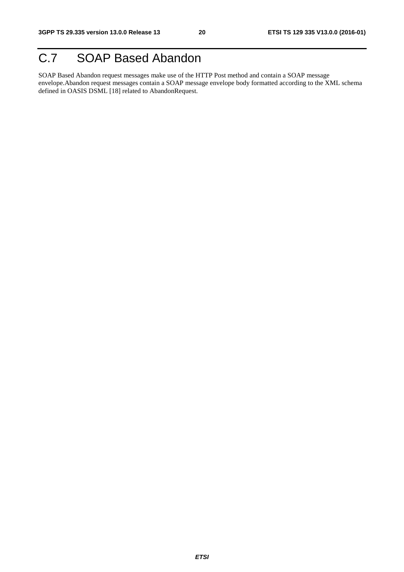# C.7 SOAP Based Abandon

SOAP Based Abandon request messages make use of the HTTP Post method and contain a SOAP message envelope.Abandon request messages contain a SOAP message envelope body formatted according to the XML schema defined in OASIS DSML [18] related to AbandonRequest.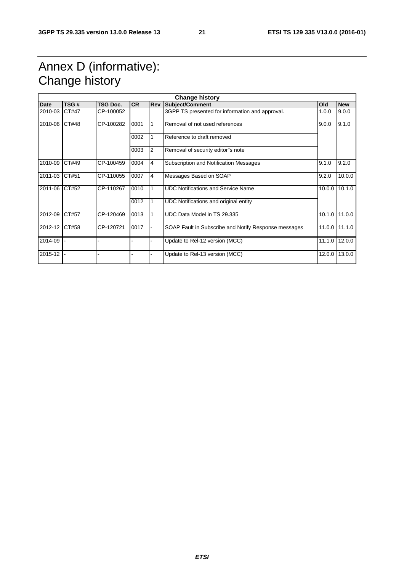# Annex D (informative): Change history

|               | <b>Change history</b> |           |           |            |                                                      |        |               |
|---------------|-----------------------|-----------|-----------|------------|------------------------------------------------------|--------|---------------|
| <b>Date</b>   | TSG#                  | TSG Doc.  | <b>CR</b> | <b>Rev</b> | <b>Subject/Comment</b>                               | Old    | <b>New</b>    |
| 2010-03       | CT#47                 | CP-100052 |           |            | 3GPP TS presented for information and approval.      | 1.0.0  | 9.0.0         |
| 2010-06 CT#48 |                       | CP-100282 | 0001      |            | Removal of not used references                       | 9.0.0  | 9.1.0         |
|               |                       |           | 0002      |            | Reference to draft removed                           |        |               |
|               |                       |           | 0003      | 2          | Removal of security editor"s note                    |        |               |
| 2010-09       | CT#49                 | CP-100459 | 0004      | 4          | Subscription and Notification Messages               | 9.1.0  | 9.2.0         |
| 2011-03       | CT#51                 | CP-110055 | 0007      | 4          | Messages Based on SOAP                               | 9.2.0  | 10.0.0        |
| 2011-06 CT#52 |                       | CP-110267 | 0010      |            | <b>UDC Notifications and Service Name</b>            | 10.0.0 | 10.1.0        |
|               |                       |           | 0012      |            | UDC Notifications and original entity                |        |               |
| 2012-09       | CT#57                 | CP-120469 | 0013      |            | UDC Data Model in TS 29.335                          |        | 10.1.0 11.0.0 |
| 2012-12 CT#58 |                       | CP-120721 | 0017      |            | SOAP Fault in Subscribe and Notify Response messages |        | 11.0.0 11.1.0 |
| 2014-09       |                       |           |           |            | Update to Rel-12 version (MCC)                       | 11.1.0 | 12.0.0        |
| $2015 - 12$ - |                       |           |           |            | Update to Rel-13 version (MCC)                       | 12.0.0 | 13.0.0        |